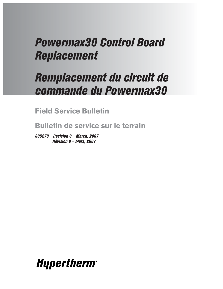# *Powermax30 Control Board Replacement*

# *Remplacement du circuit de commande du Powermax30*

**Field Service Bulletin**

**Bulletin de service sur le terrain**

*805270 – Revision 0 – March, 2007 Révision 0 – Mars, 2007*

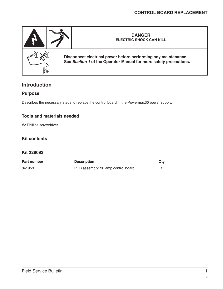

# **Introduction**

## **Purpose**

Describes the necessary steps to replace the control board in the Powermax30 power supply.

## **Tools and materials needed**

#2 Phillips screwdriver

## **Kit contents**

#### **Kit 228093**

| Part number | <b>Description</b>                 | Qty |
|-------------|------------------------------------|-----|
| 041953      | PCB assembly: 30 amp control board |     |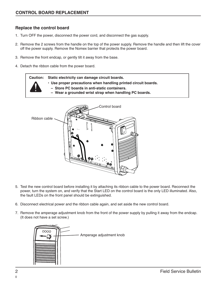## **Replace the control board**

- 1. Turn OFF the power, disconnect the power cord, and disconnect the gas supply.
- 2. Remove the 2 screws from the handle on the top of the power supply. Remove the handle and then lift the cover off the power supply. Remove the Nomex barrier that protects the power board.
- 3. Remove the front endcap, or gently tilt it away from the base.
- 4. Detach the ribbon cable from the power board.

**Caution: Static electricity can damage circuit boards. • Use proper precautions when handling printed circuit boards. – Store PC boards in anti-static containers. – Wear a grounded wrist strap when handling PC boards.**



- 5. Test the new control board before installing it by attaching its ribbon cable to the power board. Reconnect the power, turn the system on, and verify that the Start LED on the control board is the only LED illuminated. Also, the fault LEDs on the front panel should be extinguished.
- 6. Disconnect electrical power and the ribbon cable again, and set aside the new control board.
- 7. Remove the amperage adjustment knob from the front of the power supply by pulling it away from the endcap. (It does not have a set screw.)

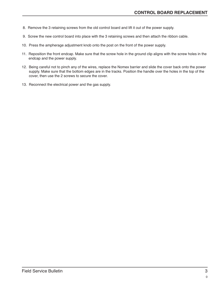- 8. Remove the 3 retaining screws from the old control board and lift it out of the power supply.
- 9. Screw the new control board into place with the 3 retaining screws and then attach the ribbon cable.
- 10. Press the ampherage adjustment knob onto the post on the front of the power supply.
- 11. Reposition the front endcap. Make sure that the screw hole in the ground clip aligns with the screw holes in the endcap and the power supply.
- 12. Being careful not to pinch any of the wires, replace the Nomex barrier and slide the cover back onto the power supply. Make sure that the bottom edges are in the tracks. Position the handle over the holes in the top of the cover, then use the 2 screws to secure the cover.
- 13. Reconnect the electrical power and the gas supply.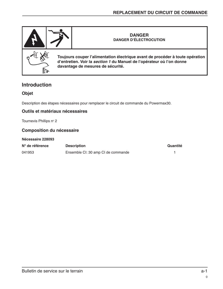

## **Introduction**

## **Objet**

Description des étapes nécessaires pour remplacer le circuit de commande du Powermax30.

## **Outils et matériaux nécessaires**

Tournevis Phillips n° 2

### **Composition du nécessaire**

#### **Nécessaire 228093**

| N° de référence | <b>Description</b>                 | Quantité |
|-----------------|------------------------------------|----------|
| 041953          | Ensemble CI: 30 amp CI de commande |          |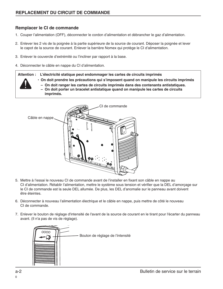## **Remplacer le CI de commande**

- 1. Couper l'alimentation (OFF), déconnecter le cordon d'alimentation et débrancher le gaz d'alimentation.
- 2. Enlever les 2 vis de la poignée à la partie supérieure de la source de courant. Déposer la poignée et lever le capot de la source de courant. Enlever la barrière Nomex qui protège le CI d'alimentation.
- 3. Enlever le couvercle d'extrémité ou l'incliner par rapport à la base.
- 4. Déconnecter le câble en nappe du CI d'alimentation.

#### **Attention : L'électricité statique peut endommager les cartes de circuits imprimés**

- **On doit prendre les précautions qui s'imposent quand on manipule les circuits imprimés**
	- **On doit ranger les cartes de circuits imprimés dans des contenants antistatiques. – On doit porter un bracelet antistatique quand on manipule les cartes de circuits imprimés.**



- 5. Mettre à l'essai le nouveau CI de commande avant de l'installer en fixant son câble en nappe au CI d'alimentation. Rétablir l'alimentation, mettre le système sous tension et vérifier que la DEL d'amorçage sur le CI de commande est la seule DEL allumée. De plus, les DEL d'anomalie sur le panneau avant doivent être éteintes.
- 6. Déconnecter à nouveau l'alimentation électrique et le câble en nappe, puis mettre de côté le nouveau CI de commande.
- 7. Enlever le bouton de réglage d'intensité de l'avant de la source de courant en le tirant pour l'écarter du panneau avant. (Il n'a pas de vis de réglage).

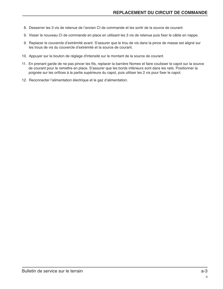- 8. Desserrer les 3 vis de retenue de l'ancien CI de commande et les sortir de la source de courant.
- 9. Visser le nouveau CI de commande en place en utilisant les 3 vis de retenue puis fixer le câble en nappe.
- 9. Replacer le couvercle d'extrémité avant. S'assurer que le trou de vis dans la pince de masse est aligné sur les trous de vis du couvercle d'extrémité et la source de courant.
- 10. Appuyer sur le bouton de réglage d'intensité sur le montant de la source de courant.
- 11. En prenant garde de ne pas pincer les fils, replacer la barrière Nomex et faire coulisser le capot sur la source de courant pour le remettre en place. S'assurer que les bords inférieurs sont dans les rails. Positionner la poignée sur les orifices à la partie supérieure du capot, puis utiliser les 2 vis pour fixer le capot.
- 12. Reconnecter l'alimentation électrique et le gaz d'alimentation.